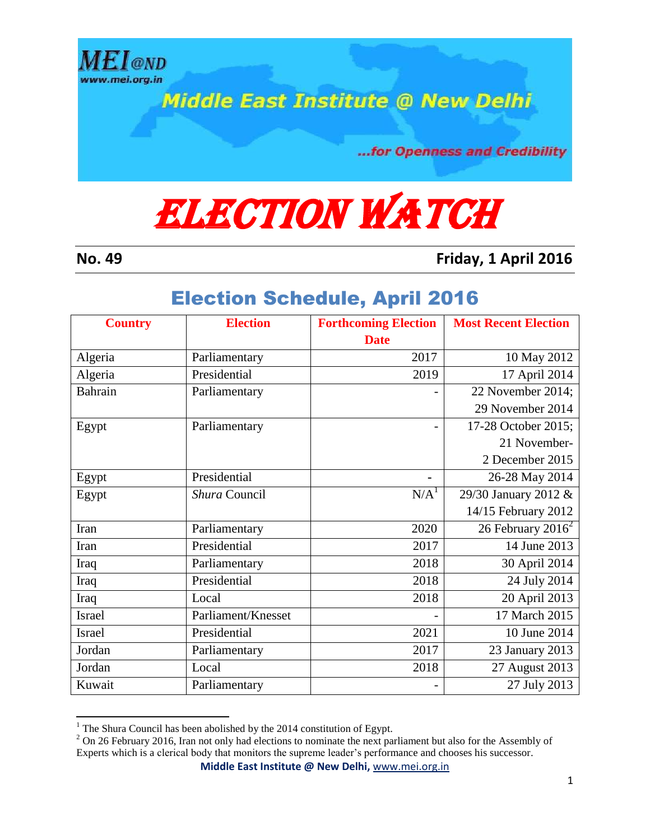

**Middle East Institute @ New Delhi** 

...for Openness and Credibility

## **ELECTION WATCH**

 $\overline{a}$ 

**No. 49 Friday, 1 April 2016**

## Election Schedule, April 2016

| <b>Country</b> | <b>Election</b>    | <b>Forthcoming Election</b> | <b>Most Recent Election</b>   |
|----------------|--------------------|-----------------------------|-------------------------------|
|                |                    | <b>Date</b>                 |                               |
| Algeria        | Parliamentary      | 2017                        | 10 May 2012                   |
| Algeria        | Presidential       | 2019                        | 17 April 2014                 |
| Bahrain        | Parliamentary      |                             | 22 November 2014;             |
|                |                    |                             | 29 November 2014              |
| Egypt          | Parliamentary      |                             | 17-28 October 2015;           |
|                |                    |                             | 21 November-                  |
|                |                    |                             | 2 December 2015               |
| Egypt          | Presidential       |                             | 26-28 May 2014                |
| Egypt          | Shura Council      | N/A <sup>1</sup>            | 29/30 January 2012 &          |
|                |                    |                             | 14/15 February 2012           |
| Iran           | Parliamentary      | 2020                        | 26 February 2016 <sup>2</sup> |
| Iran           | Presidential       | 2017                        | 14 June 2013                  |
| Iraq           | Parliamentary      | 2018                        | 30 April 2014                 |
| Iraq           | Presidential       | 2018                        | 24 July 2014                  |
| Iraq           | Local              | 2018                        | 20 April 2013                 |
| Israel         | Parliament/Knesset |                             | 17 March 2015                 |
| <b>Israel</b>  | Presidential       | 2021                        | 10 June 2014                  |
| Jordan         | Parliamentary      | 2017                        | 23 January 2013               |
| Jordan         | Local              | 2018                        | 27 August 2013                |
| Kuwait         | Parliamentary      |                             | 27 July 2013                  |

 $1$ <sup>1</sup> The Shura Council has been abolished by the 2014 constitution of Egypt.

**Middle East Institute @ New Delhi,** [www.mei.org.in](http://www.mei.org.in/)

 $2$  On 26 February 2016, Iran not only had elections to nominate the next parliament but also for the Assembly of Experts which is a clerical body that monitors the supreme leader's performance and chooses his successor.